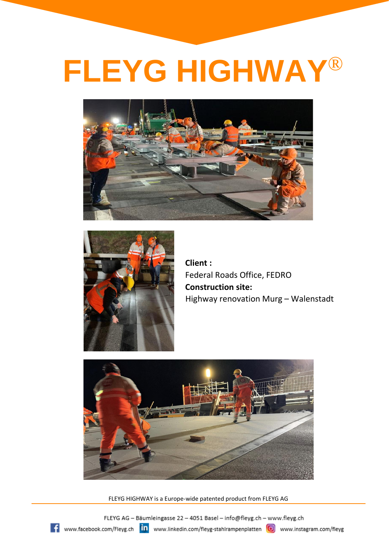



**Client :** Federal Roads Office, FEDRO **Construction site:** Highway renovation Murg – Walenstadt



FLEYG HIGHWAY is a Europe-wide patented product from FLEYG AG

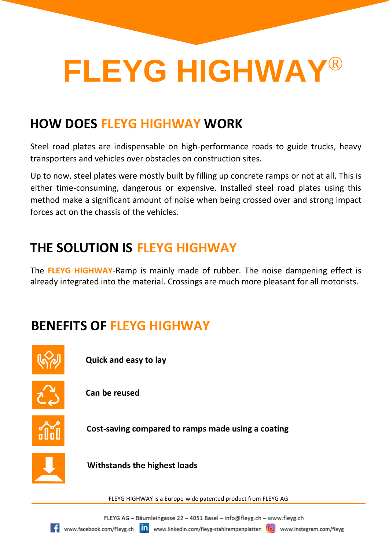#### **HOW DOES FLEYG HIGHWAY WORK**

Steel road plates are indispensable on high-performance roads to guide trucks, heavy transporters and vehicles over obstacles on construction sites.

Up to now, steel plates were mostly built by filling up concrete ramps or not at all. This is either time-consuming, dangerous or expensive. Installed steel road plates using this method make a significant amount of noise when being crossed over and strong impact forces act on the chassis of the vehicles.

### **THE SOLUTION IS FLEYG HIGHWAY**

The **FLEYG HIGHWAY**-Ramp is mainly made of rubber. The noise dampening effect is already integrated into the material. Crossings are much more pleasant for all motorists.

### **BENEFITS OF FLEYG HIGHWAY**



**Quick and easy to lay**



**Can be reused**



**Cost-saving compared to ramps made using a coating**



**Withstands the highest loads**

FLEYG HIGHWAY is a Europe-wide patented product from FLEYG AG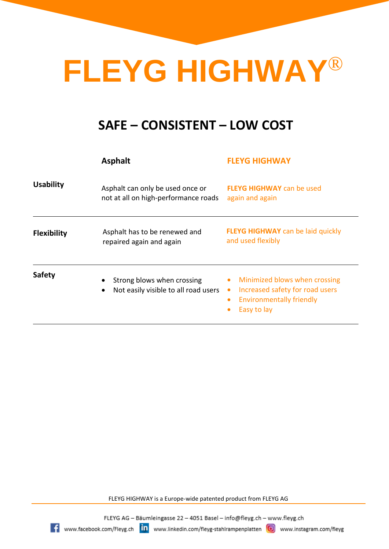#### **SAFE – CONSISTENT – LOW COST**

|                    | <b>Asphalt</b>                                                                       | <b>FLEYG HIGHWAY</b>                                                                                                                                                   |
|--------------------|--------------------------------------------------------------------------------------|------------------------------------------------------------------------------------------------------------------------------------------------------------------------|
| <b>Usability</b>   | Asphalt can only be used once or<br>not at all on high-performance roads             | <b>FLEYG HIGHWAY</b> can be used<br>again and again                                                                                                                    |
| <b>Flexibility</b> | Asphalt has to be renewed and<br>repaired again and again                            | <b>FLEYG HIGHWAY</b> can be laid quickly<br>and used flexibly                                                                                                          |
| <b>Safety</b>      | Strong blows when crossing<br>٠<br>Not easily visible to all road users<br>$\bullet$ | Minimized blows when crossing<br>$\bullet$<br>Increased safety for road users<br>$\bullet$<br><b>Environmentally friendly</b><br>$\bullet$<br>Easy to lay<br>$\bullet$ |

FLEYG HIGHWAY is a Europe-wide patented product from FLEYG AG